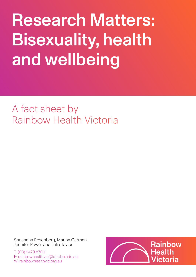Research Matters: Bisexuality, health and wellbeing

A fact sheet by Rainbow Health Victoria

Shoshana Rosenberg, Marina Carman, Jennifer Power and Julia Taylor

T: (03) 9479 8700 E: rainbowhealthvic@latrobe.edu.au W: rainbowhealthvic.org.au

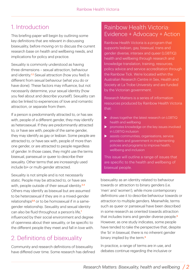# 1. Introduction

This briefing paper will begin by outlining some key definitions that are relevant in discussing bisexuality, before moving on to discuss the current research base on health and wellbeing needs, and implications for policy and practice.

Sexuality is commonly understood as having three dimensions – sexual attraction, behaviour and identity.<sup>1,2</sup> Sexual attraction (how you feel) is different from sexual behaviour (what you do or have done). These factors may influence, but not necessarily determine, your sexual identity (how you feel about and describe yourself). Sexuality can also be linked to experiences of love and romantic attraction, or separate from them.

If a person is predominantly attracted to, or has sex with, people of a different gender, they may identify as heterosexual. If they are predominantly attracted to, or have sex with, people of the same gender, they may identify as gay or lesbian. Some people are attracted to, or have sex with, people of more than one gender, or are attracted to people regardless of gender. In those cases, they might use the terms bisexual, pansexual or queer to describe their sexuality. Other terms that are increasingly used include bi+ or multi-gender attracted.

Sexuality is not simple and is not necessarily static. People may be attracted to, or have sex with, people outside of their sexual identity.<sup>3,4</sup> Others may identify as bisexual but are assumed to be heterosexual if they are in a mixed-gender relationships<sup>5,6</sup> or to be homosexual if in a samegender relationship. Sexuality and sexual identity can also be fluid throughout a person's life,<sup>7</sup> influenced by their social environment and degree of openness about their sexuality, or be specific to the different people they meet and fall in love with.

# 2. Definitions of bisexuality

Community and research definitions of bisexuality have differed over time. Some research has defined

#### Rainbow Health Victoria: Evidence + Advocacy + Action

Rainbow Health Victoria is a program that supports lesbian, gay, bisexual, trans and gender diverse, intersex and queer (LGBTIQ) health and wellbeing through research and knowledge translation, training, resources, policy advice and service accreditation through the Rainbow Tick. We're located within the Australian Research Centre in Sex, Health and Society at La Trobe University and are funded by the Victorian government.

Research Matters is a series of information resources produced by Rainbow Health Victoria that:

- $\triangleright$  draws together the latest research on LGBTIQ health and wellbeing
- $\triangleright$  promotes knowledge on the key issues involved in LGBTIQ inclusion
- $\blacktriangleright$  assists communities, organisations, service providers and government in implementing policies and programs to improve health, wellbeing and inclusion

This issue will outline a range of issues that are specific to the health and wellbeing of bisexual people.

bisexuality as an identity related to behaviour towards or attraction to binary genders (i.e. 'men' and 'women'), while more contemporary definitions use it to describe behaviour towards or attraction to multiple genders. Meanwhile, terms such as queer or pansexual have been described in some research as oriented towards attraction that includes trans and gender diverse people.<sup>8</sup> However, as one study indicates, some people have tended to take the perspective that, despite the 'bi' in bisexual, there is no inherent gender binary implied by the term.<sup>9</sup>

In practice, a range of terms are in use, and debates continue regarding the inclusive or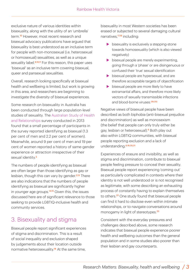exclusive nature of various identities within bisexuality, along with the utility of an 'umbrella' term.<sup>10</sup> However, most recent research and bisexual advocacy publications have argued that bisexuality is best understood as an inclusive term for people with non-monosexual (i.e. heterosexual or homosexual) sexualities, as well as a unique sexuality label.<sup>8,10,11</sup> For this reason, this paper uses 'bisexual' as an inclusive term covering bisexual, queer and pansexual sexualities.

Overall, research looking specifically at bisexual health and wellbeing is limited, but work is growing in this area, and researchers are beginning to investigate the diversity of bisexual experiences.

Some research on bisexuality in Australia has been conducted through large population-level studies of sexuality. The Australian Study of Health and Relationships survey conducted in 2013 found that a small percentage of participants in the survey reported identifying as bisexual (1.3 per cent of men and 2.2 per cent of women). Meanwhile, around 9 per cent of men and 19 per cent of women reported a history of same-gender experience or attraction irrespective of their sexual identity.<sup>2</sup>

The numbers of people identifying as bisexual are often larger than those identifying as gay or lesbian, though this can vary by gender.<sup>2,13</sup> There are also indications that the numbers of people identifying as bisexual are significantly higher in younger age groups.<sup>14,15</sup> Given this, the issues discussed here are of significant relevance to those seeking to provide LGBTIQ-inclusive health and community services.

# 3. Bisexuality and stigma

Bisexual people report significant experiences of stigma and discrimination. This is a result of social inequality and exclusion shaped by judgements about their location outside normative heterosexuality.<sup>16</sup> At the same time,

bisexuality in most Western societies has been erased or subjected to several damaging cultural narratives,<sup>17,18</sup> including:

- $\blacktriangleright$  bisexuality is exclusively a stepping-stone towards homosexuality (which is also viewed negatively)
- $\blacktriangleright$  bisexual people are merely experimenting, going through a 'phase' or are disingenuous or confused their 'true' sexual identification
- $\triangleright$  bisexual people are hypersexual, and are therefore acceptable targets of objectification
- $\triangleright$  bisexual people are more likely to have extramarital affairs, and therefore more likely vectors of sexually transmissible infections and blood-borne viruses.<sup>(19,20)</sup>

Negative views of bisexual people have been described as both biphobia (anti-bisexual prejudice and discrimination) as well as monosexism (the belief that people can only truly either be gay, lesbian or heterosexual).6 Both play out also within LGBTIQ communities, with bisexual people reporting exclusion and a lack of understanding.6,19,20,21

Experiences of erasure and invisibility, as well as stigma and discrimination, contribute to bisexual people feeling pressure to conceal their sexuality. Bisexual people report experiencing 'coming out' as particularly complicated in contexts where their identity is not well understood or is not recognised as legitimate, with some describing an exhausting process of constantly having to explain themselves to others.22 One study found that bisexual people can find it hard to disclose even within intimate relationships, or to navigate conversations around monogamy in light of stereotypes.<sup>23</sup>

Consistent with the everyday pressures and challenges described above, some research indicates that bisexual people experience poorer health and wellbeing outcomes than the general population and in some studies also poorer than their lesbian and gay counterparts.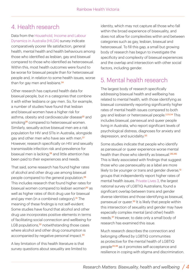### 4. Health research

Data from the Household, Income and Labour Dynamics in Australia (HILDA) survey indicate comparatively poorer life satisfaction, general health, mental health and health behaviours among those who identified as lesbian, gay and bisexual compared to those who identified as heterosexual. Within this, most health outcomes were found to be worse for bisexual people than for heterosexual people and, in relation to some health issues, worse than for gay men and lesbians.<sup>24</sup>

Other research has captured health data for bisexual people, but in a categories that combine it with either lesbians or gay men. So, for example, a number of studies have found that lesbian and bisexual women have a higher risk for asthma, obesity and cardiovascular disease<sup>25</sup> and smoking<sup>26</sup> compared to heterosexual women. Similarly, sexually-active bisexual men are a risk population for HIV and STIs in Australia, alongside gay and other men who have sex with men.<sup>27</sup> However, research specifically on HIV and sexually transmissible infection risk and prevalence for bisexual men is lacking, $28$  and little attention has been paid to their experiences and needs.

That said, some research has found higher rates of alcohol and other drug use among bisexual people compared to the general population.<sup>29</sup> This includes research that found higher rates for bisexual women compared to lesbian women<sup>30</sup> as well as higher rates of illicit drug use for bisexual and gay men (in a combined category).<sup>31</sup> The meaning of these findings is not self-evident. Some studies have found that alcohol and other drug use incorporates positive elements in terms of facilitating social connection and wellbeing for LGB populations, $32$  notwithstanding those cases where alcohol and other drug consumption is accompanied by negative personal impact.<sup>33</sup>

A key limitation of this health literature is that survey questions about sexuality are limited to

identity, which may not capture all those who fall within the broad experience of bisexuality, and does not allow for complexities within and between categories such as gay, lesbian, bisexual and heterosexual. To fill this gap, a small but growing body of research has begun to investigate the specificity and complexity of bisexual experiences and the overlap and intersection with other social factors, including gender.

## 5. Mental health research

The largest body of research specifically addressing bisexual health and wellbeing has related to mental health, with those identifying as bisexual consistently reporting significantly higher rates of mental health issues compared to both gay and lesbian or heterosexual people.<sup>2,23,34</sup> This includes bisexual, pansexual and queer people living in Australia, who report significant levels of psychological distress, diagnoses for anxiety and depression, and suicidality.<sup>33</sup>

Some studies indicate that people who identify as pansexual or queer experience worse mental health than those who identify as bisexual.<sup>(35,36)</sup> This is likely associated with findings that suggest those who use pansexuality as a label are more likely to be younger or trans and gender diverse,<sup>12</sup> groups that independently report higher rates of mental health issues. Private Lives 3, the largest national survey of LGBTIQ Australians, found a significant overlap between trans and gender diverse identities and those identifying as bisexual, pansexual or queer.<sup>33</sup> It is likely that people within this intersection of sexuality and gender may have especially complex mental (and other) health needs.37 However, to date only a small body of research has examined this issue.

Much research describes the connection and belonging offered by LGBTIQ communities as protective for the mental health of LGBTIQ people33,38 as it promotes self-acceptance and resilience in coping with stigma and discrimination.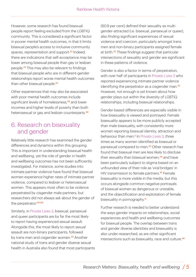However, some research has found bisexual people report feeling excluded from the LGBTIQ community. This is considered a significant factor in poorer mental health outcomes, in that it limits bisexual people's access to inclusive community spaces, representation and support.<sup>22</sup> Indeed, there are indications that self-acceptance may be lower among bisexual people than gay or lesbian people.23 This may also be relevant to findings that bisexual people who are in different-gender relationships report worse mental health outcomes than other bisexual people<sup>23</sup>

Other experiences that may also be associated with poor mental health outcomes include significant levels of homelessness,<sup>39</sup> and lower incomes and higher levels of poverty than both heterosexual or gay and lesbian counterparts.<sup>40</sup>

#### 6. Research on bisexuality and gender

Relatively little research has examined the gender differences and dynamics within this grouping. This is important in understanding bisexual health and wellbeing, yet the role of gender in health and wellbeing outcomes has not been sufficiently investigated. For instance, some studies into intimate partner violence have found that bisexual women experience higher rates of intimate partner violence, compared to lesbian or heterosexual women. This appears most often to be violence perpetrated by cisgender male partners, but researchers did not always ask about the gender of the perpetrator.<sup>(41,42)</sup>

Similarly, in Private Lives 3, bisexual, pansexual and queer participants are by far the most likely to report having experienced sexual assault. Alongside this, the most likely to report sexual assault are non-binary participants, followed by trans men and cisgender women.<sup>33</sup> Another national study of trans and gender diverse sexual health in Australia also found that most participants (60.9 per cent) defined their sexuality as multigender-attracted (i.e. bisexual, pansexual or queer), also finding significant experiences of sexual violence and coercion, particularly amongst trans men and non-binary participants assigned female at birth.43 These findings suggest that particular intersections of sexuality and gender are significant in these patterns of violence.

Gender is also a factor in terms of perpetration, with over half of participants in Private Lives 3 who reported experiencing intimate partner violence identifying the perpetrator as a cisgender man.<sup>33</sup> However, not enough is yet known about how gender plays out within the diversity of LGBTIQ relationships, including bisexual relationships.

Gender-based differences are especially visible in how bisexuality is viewed and portrayed. Female bisexuality appears to be more publicly accepted than male bisexuality, with consistently more women reporting bisexual identity, attraction and behaviour than men.2 In Private Lives 3, three times as many women identified as bisexual or pansexual compared to men.<sup>33</sup> Other research has found that bisexual men are less likely to disclose their sexuality than bisexual women,<sup>44</sup> and have been particularly subject to stigma based on an unfounded view of their role as 'viral bridges' in HIV transmission to female partners.<sup>45</sup> Female bisexuality is more visible in the media, but this occurs alongside common negative portrayals of bisexual women as dangerous or unstable, and the objectification and exploitation of female bisexuality in pornography.<sup>17</sup>

Further research is needed to better understand the ways gender impacts on relationships, social experiences and health and wellbeing outcomes for bisexual people. The overlap between trans and gender diverse identities and bisexuality is also under-researched, as are other significant intersections such as bisexuality, race and culture.<sup>46</sup>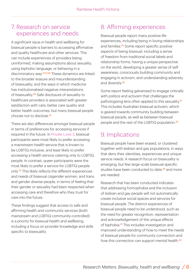#### 7. Research on service experiences and needs

A significant issue in health and wellbeing for bisexual people is barriers to accessing affirmative and quality healthcare and other services. This can include experiences of providers being uninformed, making assumptions about sexuality, using biphobic language, or behaving in a discriminatory way.<sup>21,47,48</sup> These dynamics are linked to the broader erasure and misunderstanding of bisexuality, and the ways in which medicine has institutionalised negative interpretations of bisexuality.49 Safe disclosure of sexuality to healthcare providers is associated with greater satisfaction with care, better care quality and better health outcomes, but many bisexual people choose not to disclose  $47$ 

There are also differences amongst bisexual people in terms of preferences for accessing services if required in the future. In Private Lives 3, bisexual participants were most likely to prefer accessing a mainstream health service that is known to be LGBTIQ-inclusive, and least likely to prefer accessing a health service catering only to LGBTIQ people. In contrast, queer participants were the most likely to prefer a service for LGBTIQ people only.33 This likely reflects the different experiences and needs of bisexual cisgender women, and trans and gender diverse people, in terms of feeling that their gender or sexuality had been respected when accessing care and therefore who they trust for care into the future.

These findings suggest that access to safe and affirming health and community services (both mainstream and LGBTIQ community-controlled) is a priority for bisexual health and wellbeing, including a focus on provider knowledge and skills specific to bisexuality.

# 8. Affirming experiences

Bisexual people report many positive life experiences, including being in loving relationships and families.<sup>33</sup> Some report specific positive aspects of being bisexual, including a sense of freedom from traditional social labels and relationship forms, having a unique perspective on the world, developing a greater sense of selfawareness, consciously building community and engaging in activism, and understanding adversity and diversity.<sup>50</sup>

Some report feeling galvanised to engage critically with politics and activism that challenges the pathologising lens often applied to this sexuality.<sup>51</sup> This includes Australian bisexual activism, which is geared towards community building between bisexual people, as well as between bisexual people and the rest of the LGBTIQ population.<sup>52</sup>

## 9. Implications

Bisexual people have been erased, or clustered together with lesbian and gay populations, in ways that deny their identities, experiences and unique service needs. A research focus on bisexuality is emerging, but few large-scale bisexual-specific studies have been conducted to date,<sup>48</sup> and more are needed.

Research that has been conducted indicates that addressing homophobia and the inclusion of lesbian and gay people will not automatically create inclusive social spaces and services for bisexual people. The distinct experiences of bisexual people need to be understood, such as the need for greater recognition, representation and acknowledgement of the unique effects of biphobia.<sup>51</sup> This includes investigation and improved understanding of how to meet the needs of bisexual people for community connection and how this connection can support mental health.<sup>44</sup>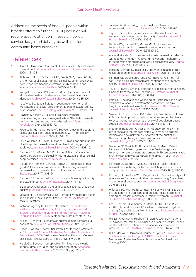Addressing the needs of bisexual people within broader efforts to further LGBTIQ inclusion will require specific attention in research, policy, service design and delivery, as well as tailored community-based initiatives.

### References

- **1.** [Kovic A, Hampson P, Gonsiorek JC. Sexual identity and sexual](https://doi.org/10.1002/9781118896877.wbiehs455) orientation. International Encyclopaedia of Human Sexuality. 2020;1115–354.
- **2.** Richters J, Altman D, Badcock PB, Smith AMA, Visser RO de, [Grulich AE, et al. Sexual identity, sexual attraction and sexual](https://doi.org/10.1071/SH14117) experience: the Second Australian Study of Health and Relationships. Sexual Health. 2014;11(5):451–60.
- **3.** Vrangalova Z, Savin-Williams RC. Mostly Heterosexual and [Mostly Gay/Lesbian: Evidence for New Sexual Orientation](https://doi.org/10.1007/s10508-012-9921-y) Identities. Archives of Sexual Behaviour. 2012;41(1):85–101.
- **4.** Katz-Wise SL. Sexual fluidity in young adult women and men: associations with sexual orientation and sexual identity [development. The Psychology of Sexuality. 2015;6\(2\):189–208.](https://psycnet.apa.org/doi/10.1080/19419899.2013.876445)
- **5.** Hayfield N, Clarke V, Halliwell E. Bisexual women's [understandings of social marginalisation: 'The heterosexuals](https://doi.org/10.1177%2F0959353514539651) don't understand us but nor do the lesbians.' Feminism and Psychology. 2014;24(3):352–72.
- **6.** [Roberts TS, Horne SG, Hoyt WT. Between a gay and a straight](https://doi.org/10.1080/15299716.2015.1111183) place: Bisexual individuals' experiences with monosexism. Journal of Bisexuality. 2015;15(4):554–69.
- **7.** [Savin-Williams RC, Joyner K, Rieger G. Prevalence and stability](https://doi.org/10.1007/s10508-012-9913-y) of self-reported sexual orientation identity during young adulthood. Archives of Sexual Behaviour. 2012;41(1):103–10.
- **8.** Flanders CE, LeBreton ME, Robinson M, Bian J, Caravaca-[Morera JA. Defining bisexuality: Young bisexual and pansexual](https://doi.org/10.1080/15299716.2016.1227016) people's voices. Journal of Bisexuality. 2017;171:39–57.
- **9.** [Galupo MP, Ramirez JL, Pulice-Farrow L. 'Regardless of their](https://doi.org/10.1080/15299716.2016.1228491) gender': Descriptions of sexual identity among bisexual, pansexual and queer identified individuals. Journal of Bisexuality. 2017;17(1):108–24.
- **10.** [Flanders CE. Under the bisexual umbrella: Diversity of identity](https://doi.org/10.1080/15299716.2017.1297145) and experience. Journal of Bisexuality. 2017;171:1–6.
- **11.** [Elizabeth A. Challenging the binary: Sexual identity that is not](https://doi.org/10.1080/15299716.2013.813421) duality. Journal of Bisexuality. 2013;13(3):329–37.
- **12.** [Morandini JS, Blaszczynski A, Dar-Nimrod I. Who adopts queer](https://doi.org/10.1080/00224499.2016.1249332) and pansexual sexual identities? Journal of Sex Research. 2017;54(7):911–22.
- **13.** Victorian Agency for Health Information. The health and wellbeing of the lesbian, gay, bisexual, transgender and intersex population in Victoria: findings from 2017 Victorian [Population Health Survey. Melbourne: State of Victoria; 2020.](https://www.safercare.vic.gov.au/sites/default/files/2020-09/The-health-and-wellbeing-of-the-LGBTIQ-population-in-Victoria.pdf)
- **14.** [Wilson T, Shalley F. Estimates of Australia's non-heterosexual](https://doi.org/10.37970/aps.v2i1.23) population. Australian Population Studies. 2018;2(1):26–38.
- **15.** Fisher C, Waling A, Kerr L, Bellamy R, Ezer P, Mikolajczak M, et al. 6th National Survey of Australian Secondary Students and [Sexual Health 2018. Melbourne: Australian Research Centre in](https://www.latrobe.edu.au/arcshs/publications/young-people-and-sexual-health) Sex, Health and Society, La Trobe University; 2019.
- **16.** Herek GM. Beyond "homophobia": Thinking more clearly [about stigma, prejudice, and sexual orientation. American](https://doi.org/10.1037/ort0000092) Journal of Orthopsychiatry. 2015;85(5, Suppl):S29–37.
- **17.** Johnson HJ. Bisexuality, mental health and media [representation. Journal of Bisexuality. 2016;16\(3\):378–96.](https://doi.org/10.1080/15299716.2016.1168335)
- **18.** Taylor J. Out of the darkness and into the shadows: The [evolution of contemporary bisexuality. Canadian Journal of](https://doi.org/10.3138/cjhs.2018-0014) Human Sexuality. 2018;27(2):103–9.
- **19.** Hertlein KM, Hartwell EE, Munns ME. Attitudes toward [bisexuality according to sexual orientation and gender.](https://doi.org/10.1080/15299716.2016.1200510) Journal of Bisexuality. 2016;16(3):339–60.
- **20.** Alarie M, Gaudet S. 'I don't know if she is bisexual or if she just wants to get attention': Analyzing the various mechanisms [through which emerging adults invisibilize bisexuality. Journal](https://doi.org/10.1080/15299716.2013.780004) of Bisexuality. 2013;13(2):191–214.
- **21.** Persson TJ, Pfaus JG. Bisexuality and mental health: Future [research directions. Journal of Bisexuality. 2015;15\(1\):82–98.](https://doi.org/10.1080/15299716.2014.994694)
- **22.** Flanders CE, Dobinson C, Logie C. 'I'm never really my full [self': Young bisexual women's perceptions of their mental](https://doi.org/10.1080/15299716.2015.1079288) health. Journal of Bisexuality. 2015;15(4):454–80.
- **23.** [Taylor J, Power J, Smith E, Rathbone M. Bisexual mental](https://doi.org/10.31128/ajgp-06-18-4615) health: Findings from the 'Who I Am' study. Australian Journal of General Practice. 2020;48(3):138-144.
- **24.** Perales F. The health and wellbeing of Australian lesbian, gay and bisexual people: a systematic assessment using a [longitudinal national sample. Australian and New Zealand](https://doi.org/10.1111/1753-6405.12855) Journal of Public Health. 2019;43:281-287.
- **25.** [Simoni JM, Smith L, Oost KM, Lehavot K, Fredriksen-Goldsen](https://doi.org/10.1080/00918369.2016.1174021) K. Disparities in physical health conditions among lesbian and bisexual women: A systematic review of population-based studies. Journal of Homosexuality. 2017;641:32–44.
- **26.** [Praeger R, Roxburgh A, Passey M, Mooney-Somers J. The](https://doi.org/10.1016/j.drugpo.2019.03.028) prevalence and factors associated with smoking among lesbian and bisexual women: Analysis of the Australian National Drug Strategy Household Survey. International Journal of Drug Policy. 2019;70:54-60.
- **27.** Bavinton BR, Grulich AE, Broady T, Keen P, Mao L, Patel P. Increases in HIV testing frequency in Australian gay and [bisexual men are concentrated among PrEP users: An analysis](https://doi.org/10.1007/s10461-020-02826-0) of Australian behavioural surveillance data, 2013–2018. AIDS and Behaviour. 2020;24: 2691–2702.
- **28.** Feinstein BA, Dodge B. Meeting the sexual health needs of bisexual men in the age of biomedical HIV prevention: Gaps [and priorities. Archives of Sexual Behavior. 2020:49\(1\), 217-232.](https://doi.org/10.1007%2Fs10508-019-01468-1)
- **29.** [Roxburgh A, Lea T, de Wit J, Degenhardt L. Sexual identity and](https://doi.org/10.1016/j.drugpo.2015.11.005) prevalence of alcohol and other drug use among Australians in the general population. International Journal of Drug Policy. 2016;28:76-82.
- **30.** [Wilsnack SC, Hughes TL, Johnson TP, Bostwick WB, Szalacha](https://doi.org/10.15288/jsad.2008.69.129) LA, Benson P. et al. Drinking and drinking-related problems among heterosexual and sexual minority women. Journal of Studies on Alcohol and Drugs. 2008;69:129-39.
- **31.** Lea T, Hammoud M, Bourne A, Maher M, Jin F, Haire B, et al. Attitudes and Perceived Social Norms toward Drug Use [among Gay and Bisexual Men in Australia. Substance Use and](https://doi.org/10.1080/10826084.2018.1552302) Misuse. 2019;54(6):944-54.
- **32.** [McNair R, Pennay A, Hughes T, Brown R, Leonard W, Lubman](https://doi.org/10.1080/13691058.2015.1089602) DI. A model for lesbian, bisexual and queer-related influences on alcohol consumption and implications for policy and practice. Culture, Health and Sexuality. 2016;18(4):405–21.
- **33.** [Hill A, McNair R, Carman M, Bourne A, Lyons A. Private Lives](https://www.latrobe.edu.au/arcshs/publications/private-lives/private-lives-3) 3: The health and wellbeing of LGBTIQ people in Australia. Melbourne: Australian Research Centre in Sex, Health and Society; 2020.